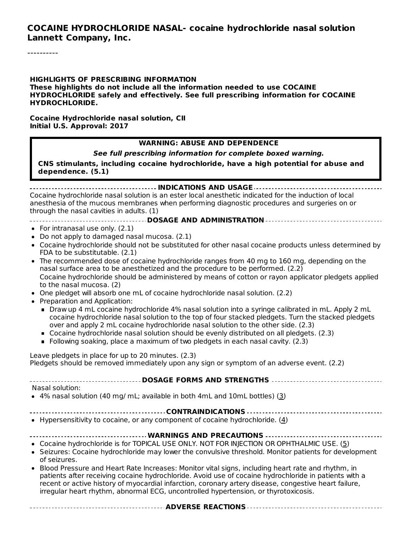#### **COCAINE HYDROCHLORIDE NASAL- cocaine hydrochloride nasal solution Lannett Company, Inc.**

----------

**HIGHLIGHTS OF PRESCRIBING INFORMATION These highlights do not include all the information needed to use COCAINE HYDROCHLORIDE safely and effectively. See full prescribing information for COCAINE HYDROCHLORIDE.**

**Cocaine Hydrochloride nasal solution, CII Initial U.S. Approval: 2017**

#### **WARNING: ABUSE AND DEPENDENCE**

**See full prescribing information for complete boxed warning.**

**CNS stimulants, including cocaine hydrochloride, have a high potential for abuse and dependence. (5.1)**

**INDICATIONS AND USAGE** Cocaine hydrochloride nasal solution is an ester local anesthetic indicated for the induction of local anesthesia of the mucous membranes when performing diagnostic procedures and surgeries on or through the nasal cavities in adults. (1)

- **DOSAGE AND ADMINISTRATION**
- For intranasal use only. (2.1)
- Do not apply to damaged nasal mucosa. (2.1)
- Cocaine hydrochloride should not be substituted for other nasal cocaine products unless determined by FDA to be substitutable. (2.1)
- The recommended dose of cocaine hydrochloride ranges from 40 mg to 160 mg, depending on the nasal surface area to be anesthetized and the procedure to be performed. (2.2) Cocaine hydrochloride should be administered by means of cotton or rayon applicator pledgets applied to the nasal mucosa. (2)
- One pledget will absorb one mL of cocaine hydrochloride nasal solution. (2.2)
- Preparation and Application:
	- Draw up 4 mL cocaine hydrochloride 4% nasal solution into a syringe calibrated in mL. Apply 2 mL cocaine hydrochloride nasal solution to the top of four stacked pledgets. Turn the stacked pledgets over and apply 2 mL cocaine hydrochloride nasal solution to the other side. (2.3)
	- Cocaine hydrochloride nasal solution should be evenly distributed on all pledgets. (2.3)
	- Following soaking, place a maximum of two pledgets in each nasal cavity. (2.3)

Leave pledgets in place for up to 20 minutes. (2.3) Pledgets should be removed immediately upon any sign or symptom of an adverse event. (2.2)

**DOSAGE FORMS AND STRENGTHS**

Nasal solution:

4% nasal solution (40 mg/ mL; available in both 4mL and 10mL bottles) (3)

- **CONTRAINDICATIONS**
- Hypersensitivity to cocaine, or any component of cocaine hydrochloride. (4)

#### **WARNINGS AND PRECAUTIONS**

**ADVERSE REACTIONS**

- Cocaine hydrochloride is for TOPICAL USE ONLY. NOT FOR INJECTION OR OPHTHALMIC USE. (5)
- Seizures: Cocaine hydrochloride may lower the convulsive threshold. Monitor patients for development of seizures.
- Blood Pressure and Heart Rate Increases: Monitor vital signs, including heart rate and rhythm, in patients after receiving cocaine hydrochloride. Avoid use of cocaine hydrochloride in patients with a recent or active history of myocardial infarction, coronary artery disease, congestive heart failure, irregular heart rhythm, abnormal ECG, uncontrolled hypertension, or thyrotoxicosis.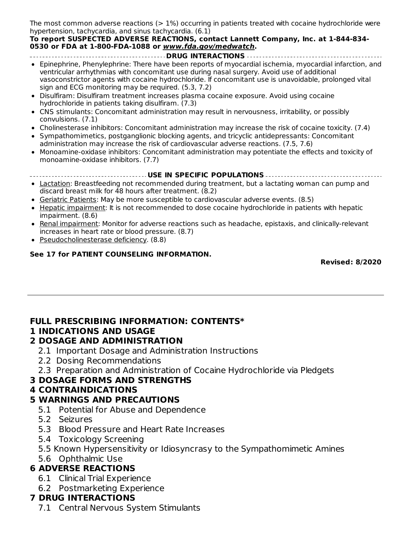The most common adverse reactions  $(>1\%)$  occurring in patients treated with cocaine hydrochloride were hypertension, tachycardia, and sinus tachycardia. (6.1)

#### **To report SUSPECTED ADVERSE REACTIONS, contact Lannett Company, Inc. at 1-844-834- 0530 or FDA at 1-800-FDA-1088 or www.fda.gov/medwatch.**

- **DRUG INTERACTIONS** Epinephrine, Phenylephrine: There have been reports of myocardial ischemia, myocardial infarction, and
- ventricular arrhythmias with concomitant use during nasal surgery. Avoid use of additional vasoconstrictor agents with cocaine hydrochloride. If concomitant use is unavoidable, prolonged vital sign and ECG monitoring may be required. (5.3, 7.2)
- Disulfiram: Disulfiram treatment increases plasma cocaine exposure. Avoid using cocaine hydrochloride in patients taking disulfiram. (7.3)
- CNS stimulants: Concomitant administration may result in nervousness, irritability, or possibly convulsions. (7.1)
- Cholinesterase inhibitors: Concomitant administration may increase the risk of cocaine toxicity. (7.4)
- Sympathomimetics, postganglionic blocking agents, and tricyclic antidepressants: Concomitant administration may increase the risk of cardiovascular adverse reactions. (7.5, 7.6)
- Monoamine-oxidase inhibitors: Concomitant administration may potentiate the effects and toxicity of monoamine-oxidase inhibitors. (7.7)
- **USE IN SPECIFIC POPULATIONS**
- Lactation: Breastfeeding not recommended during treatment, but a lactating woman can pump and discard breast milk for 48 hours after treatment. (8.2)
- **Geriatric Patients:** May be more susceptible to cardiovascular adverse events. (8.5)
- Hepatic impairment: It is not recommended to dose cocaine hydrochloride in patients with hepatic impairment. (8.6)
- Renal impairment: Monitor for adverse reactions such as headache, epistaxis, and clinically-relevant increases in heart rate or blood pressure. (8.7)
- Pseudocholinesterase deficiency. (8.8)

#### **See 17 for PATIENT COUNSELING INFORMATION.**

**Revised: 8/2020**

### **FULL PRESCRIBING INFORMATION: CONTENTS\***

### **1 INDICATIONS AND USAGE**

#### **2 DOSAGE AND ADMINISTRATION**

- 2.1 Important Dosage and Administration Instructions
- 2.2 Dosing Recommendations
- 2.3 Preparation and Administration of Cocaine Hydrochloride via Pledgets

### **3 DOSAGE FORMS AND STRENGTHS**

### **4 CONTRAINDICATIONS**

### **5 WARNINGS AND PRECAUTIONS**

- 5.1 Potential for Abuse and Dependence
- 5.2 Seizures
- 5.3 Blood Pressure and Heart Rate Increases
- 5.4 Toxicology Screening
- 5.5 Known Hypersensitivity or Idiosyncrasy to the Sympathomimetic Amines
- 5.6 Ophthalmic Use

### **6 ADVERSE REACTIONS**

- 6.1 Clinical Trial Experience
- 6.2 Postmarketing Experience

### **7 DRUG INTERACTIONS**

7.1 Central Nervous System Stimulants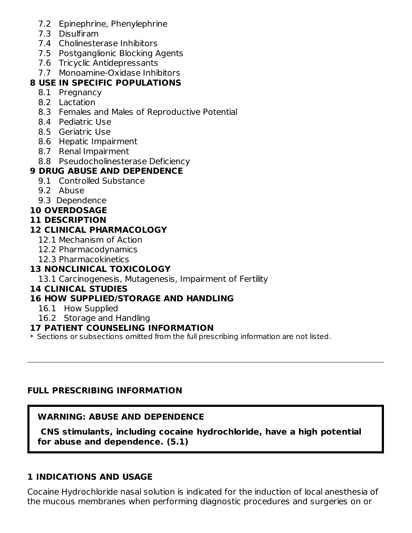- 7.2 Epinephrine, Phenylephrine
- 7.3 Disulfiram
- 7.4 Cholinesterase Inhibitors
- 7.5 Postganglionic Blocking Agents
- 7.6 Tricyclic Antidepressants
- 7.7 Monoamine-Oxidase Inhibitors

## **8 USE IN SPECIFIC POPULATIONS**

- 8.1 Pregnancy
- 8.2 Lactation
- 8.3 Females and Males of Reproductive Potential
- 8.4 Pediatric Use
- 8.5 Geriatric Use
- 8.6 Hepatic Impairment
- 8.7 Renal Impairment
- 8.8 Pseudocholinesterase Deficiency

## **9 DRUG ABUSE AND DEPENDENCE**

- 9.1 Controlled Substance
- 9.2 Abuse
- 9.3 Dependence

## **10 OVERDOSAGE**

## **11 DESCRIPTION**

## **12 CLINICAL PHARMACOLOGY**

- 12.1 Mechanism of Action
- 12.2 Pharmacodynamics
- 12.3 Pharmacokinetics

## **13 NONCLINICAL TOXICOLOGY**

13.1 Carcinogenesis, Mutagenesis, Impairment of Fertility

## **14 CLINICAL STUDIES**

## **16 HOW SUPPLIED/STORAGE AND HANDLING**

- 16.1 How Supplied
- 16.2 Storage and Handling

## **17 PATIENT COUNSELING INFORMATION**

 $\ast$  Sections or subsections omitted from the full prescribing information are not listed.

## **FULL PRESCRIBING INFORMATION**

## **WARNING: ABUSE AND DEPENDENCE**

**CNS stimulants, including cocaine hydrochloride, have a high potential for abuse and dependence. (5.1)**

### **1 INDICATIONS AND USAGE**

Cocaine Hydrochloride nasal solution is indicated for the induction of local anesthesia of the mucous membranes when performing diagnostic procedures and surgeries on or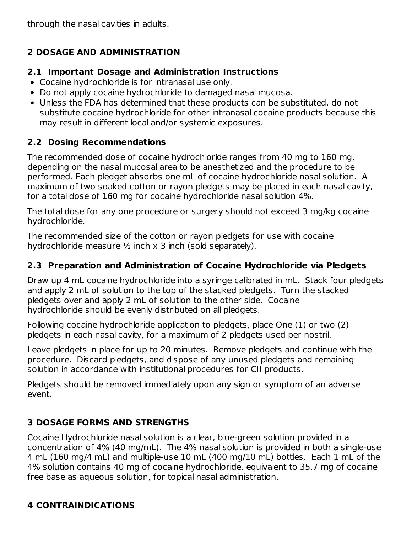through the nasal cavities in adults.

## **2 DOSAGE AND ADMINISTRATION**

#### **2.1 Important Dosage and Administration Instructions**

- Cocaine hydrochloride is for intranasal use only.
- Do not apply cocaine hydrochloride to damaged nasal mucosa.
- Unless the FDA has determined that these products can be substituted, do not substitute cocaine hydrochloride for other intranasal cocaine products because this may result in different local and/or systemic exposures.

## **2.2 Dosing Recommendations**

The recommended dose of cocaine hydrochloride ranges from 40 mg to 160 mg, depending on the nasal mucosal area to be anesthetized and the procedure to be performed. Each pledget absorbs one mL of cocaine hydrochloride nasal solution. A maximum of two soaked cotton or rayon pledgets may be placed in each nasal cavity, for a total dose of 160 mg for cocaine hydrochloride nasal solution 4%.

The total dose for any one procedure or surgery should not exceed 3 mg/kg cocaine hydrochloride.

The recommended size of the cotton or rayon pledgets for use with cocaine hydrochloride measure  $\frac{1}{2}$  inch x 3 inch (sold separately).

### **2.3 Preparation and Administration of Cocaine Hydrochloride via Pledgets**

Draw up 4 mL cocaine hydrochloride into a syringe calibrated in mL. Stack four pledgets and apply 2 mL of solution to the top of the stacked pledgets. Turn the stacked pledgets over and apply 2 mL of solution to the other side. Cocaine hydrochloride should be evenly distributed on all pledgets.

Following cocaine hydrochloride application to pledgets, place One (1) or two (2) pledgets in each nasal cavity, for a maximum of 2 pledgets used per nostril.

Leave pledgets in place for up to 20 minutes. Remove pledgets and continue with the procedure. Discard pledgets, and dispose of any unused pledgets and remaining solution in accordance with institutional procedures for CII products.

Pledgets should be removed immediately upon any sign or symptom of an adverse event.

## **3 DOSAGE FORMS AND STRENGTHS**

Cocaine Hydrochloride nasal solution is a clear, blue-green solution provided in a concentration of 4% (40 mg/mL). The 4% nasal solution is provided in both a single-use 4 mL (160 mg/4 mL) and multiple-use 10 mL (400 mg/10 mL) bottles. Each 1 mL of the 4% solution contains 40 mg of cocaine hydrochloride, equivalent to 35.7 mg of cocaine free base as aqueous solution, for topical nasal administration.

## **4 CONTRAINDICATIONS**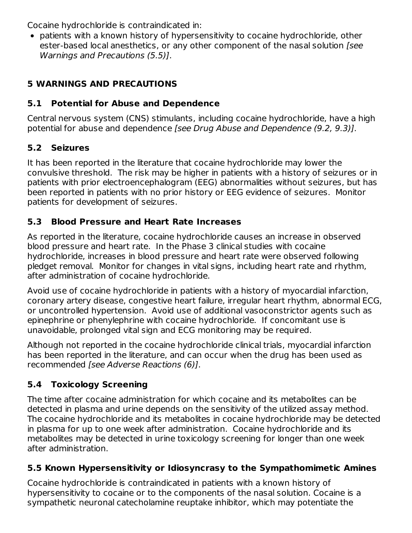Cocaine hydrochloride is contraindicated in:

patients with a known history of hypersensitivity to cocaine hydrochloride, other ester-based local anesthetics, or any other component of the nasal solution [see Warnings and Precautions (5.5)].

## **5 WARNINGS AND PRECAUTIONS**

## **5.1 Potential for Abuse and Dependence**

Central nervous system (CNS) stimulants, including cocaine hydrochloride, have a high potential for abuse and dependence [see Drug Abuse and Dependence (9.2, 9.3)].

## **5.2 Seizures**

It has been reported in the literature that cocaine hydrochloride may lower the convulsive threshold. The risk may be higher in patients with a history of seizures or in patients with prior electroencephalogram (EEG) abnormalities without seizures, but has been reported in patients with no prior history or EEG evidence of seizures. Monitor patients for development of seizures.

## **5.3 Blood Pressure and Heart Rate Increases**

As reported in the literature, cocaine hydrochloride causes an increase in observed blood pressure and heart rate. In the Phase 3 clinical studies with cocaine hydrochloride, increases in blood pressure and heart rate were observed following pledget removal. Monitor for changes in vital signs, including heart rate and rhythm, after administration of cocaine hydrochloride.

Avoid use of cocaine hydrochloride in patients with a history of myocardial infarction, coronary artery disease, congestive heart failure, irregular heart rhythm, abnormal ECG, or uncontrolled hypertension. Avoid use of additional vasoconstrictor agents such as epinephrine or phenylephrine with cocaine hydrochloride. If concomitant use is unavoidable, prolonged vital sign and ECG monitoring may be required.

Although not reported in the cocaine hydrochloride clinical trials, myocardial infarction has been reported in the literature, and can occur when the drug has been used as recommended [see Adverse Reactions (6)].

## **5.4 Toxicology Screening**

The time after cocaine administration for which cocaine and its metabolites can be detected in plasma and urine depends on the sensitivity of the utilized assay method. The cocaine hydrochloride and its metabolites in cocaine hydrochloride may be detected in plasma for up to one week after administration. Cocaine hydrochloride and its metabolites may be detected in urine toxicology screening for longer than one week after administration.

## **5.5 Known Hypersensitivity or Idiosyncrasy to the Sympathomimetic Amines**

Cocaine hydrochloride is contraindicated in patients with a known history of hypersensitivity to cocaine or to the components of the nasal solution. Cocaine is a sympathetic neuronal catecholamine reuptake inhibitor, which may potentiate the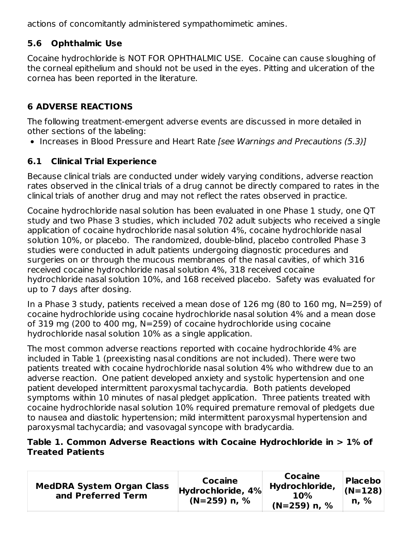actions of concomitantly administered sympathomimetic amines.

## **5.6 Ophthalmic Use**

Cocaine hydrochloride is NOT FOR OPHTHALMIC USE. Cocaine can cause sloughing of the corneal epithelium and should not be used in the eyes. Pitting and ulceration of the cornea has been reported in the literature.

## **6 ADVERSE REACTIONS**

The following treatment-emergent adverse events are discussed in more detailed in other sections of the labeling:

• Increases in Blood Pressure and Heart Rate [see Warnings and Precautions (5.3)]

## **6.1 Clinical Trial Experience**

Because clinical trials are conducted under widely varying conditions, adverse reaction rates observed in the clinical trials of a drug cannot be directly compared to rates in the clinical trials of another drug and may not reflect the rates observed in practice.

Cocaine hydrochloride nasal solution has been evaluated in one Phase 1 study, one QT study and two Phase 3 studies, which included 702 adult subjects who received a single application of cocaine hydrochloride nasal solution 4%, cocaine hydrochloride nasal solution 10%, or placebo. The randomized, double-blind, placebo controlled Phase 3 studies were conducted in adult patients undergoing diagnostic procedures and surgeries on or through the mucous membranes of the nasal cavities, of which 316 received cocaine hydrochloride nasal solution 4%, 318 received cocaine hydrochloride nasal solution 10%, and 168 received placebo. Safety was evaluated for up to 7 days after dosing.

In a Phase 3 study, patients received a mean dose of 126 mg (80 to 160 mg, N=259) of cocaine hydrochloride using cocaine hydrochloride nasal solution 4% and a mean dose of 319 mg (200 to 400 mg, N=259) of cocaine hydrochloride using cocaine hydrochloride nasal solution 10% as a single application.

The most common adverse reactions reported with cocaine hydrochloride 4% are included in Table 1 (preexisting nasal conditions are not included). There were two patients treated with cocaine hydrochloride nasal solution 4% who withdrew due to an adverse reaction. One patient developed anxiety and systolic hypertension and one patient developed intermittent paroxysmal tachycardia. Both patients developed symptoms within 10 minutes of nasal pledget application. Three patients treated with cocaine hydrochloride nasal solution 10% required premature removal of pledgets due to nausea and diastolic hypertension; mild intermittent paroxysmal hypertension and paroxysmal tachycardia; and vasovagal syncope with bradycardia.

#### **Table 1. Common Adverse Reactions with Cocaine Hydrochloride in > 1% of Treated Patients**

| <b>MedDRA System Organ Class</b><br>and Preferred Term | Cocaine<br>Hydrochloride, 4%<br>$(N=259)$ n, % | <b>Cocaine</b><br>Hydrochloride,<br><b>10%</b><br>$(N=259)$ n, % | <b>Placebo</b><br>$(N=128)$<br>n. % |
|--------------------------------------------------------|------------------------------------------------|------------------------------------------------------------------|-------------------------------------|
|--------------------------------------------------------|------------------------------------------------|------------------------------------------------------------------|-------------------------------------|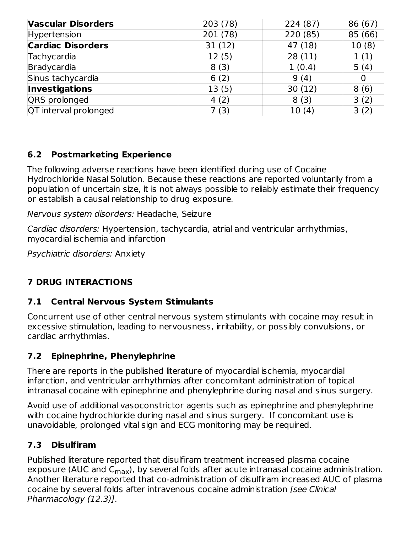| <b>Vascular Disorders</b> | 203 (78) | 224 (87) | 86 (67) |
|---------------------------|----------|----------|---------|
| Hypertension              | 201 (78) | 220 (85) | 85 (66) |
| <b>Cardiac Disorders</b>  | 31(12)   | 47 (18)  | 10(8)   |
| Tachycardia               | 12(5)    | 28(11)   | 1(1)    |
| Bradycardia               | 8(3)     | 1(0.4)   | 5(4)    |
| Sinus tachycardia         | 6(2)     | 9(4)     | 0       |
| <b>Investigations</b>     | 13(5)    | 30(12)   | 8(6)    |
| QRS prolonged             | 4(2)     | 8(3)     | 3(2)    |
| QT interval prolonged     | 7(3)     | 10(4)    | 3(2)    |

## **6.2 Postmarketing Experience**

The following adverse reactions have been identified during use of Cocaine Hydrochloride Nasal Solution. Because these reactions are reported voluntarily from a population of uncertain size, it is not always possible to reliably estimate their frequency or establish a causal relationship to drug exposure.

Nervous system disorders: Headache, Seizure

Cardiac disorders: Hypertension, tachycardia, atrial and ventricular arrhythmias, myocardial ischemia and infarction

Psychiatric disorders: Anxiety

## **7 DRUG INTERACTIONS**

### **7.1 Central Nervous System Stimulants**

Concurrent use of other central nervous system stimulants with cocaine may result in excessive stimulation, leading to nervousness, irritability, or possibly convulsions, or cardiac arrhythmias.

## **7.2 Epinephrine, Phenylephrine**

There are reports in the published literature of myocardial ischemia, myocardial infarction, and ventricular arrhythmias after concomitant administration of topical intranasal cocaine with epinephrine and phenylephrine during nasal and sinus surgery.

Avoid use of additional vasoconstrictor agents such as epinephrine and phenylephrine with cocaine hydrochloride during nasal and sinus surgery. If concomitant use is unavoidable, prolonged vital sign and ECG monitoring may be required.

## **7.3 Disulfiram**

Published literature reported that disulfiram treatment increased plasma cocaine exposure (AUC and C<sub>max</sub>), by several folds after acute intranasal cocaine administration. Another literature reported that co-administration of disulfiram increased AUC of plasma cocaine by several folds after intravenous cocaine administration [see Clinical Pharmacology (12.3)].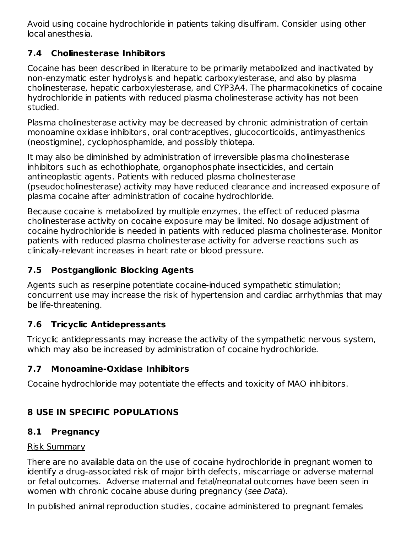Avoid using cocaine hydrochloride in patients taking disulfiram. Consider using other local anesthesia.

## **7.4 Cholinesterase Inhibitors**

Cocaine has been described in literature to be primarily metabolized and inactivated by non-enzymatic ester hydrolysis and hepatic carboxylesterase, and also by plasma cholinesterase, hepatic carboxylesterase, and CYP3A4. The pharmacokinetics of cocaine hydrochloride in patients with reduced plasma cholinesterase activity has not been studied.

Plasma cholinesterase activity may be decreased by chronic administration of certain monoamine oxidase inhibitors, oral contraceptives, glucocorticoids, antimyasthenics (neostigmine), cyclophosphamide, and possibly thiotepa.

It may also be diminished by administration of irreversible plasma cholinesterase inhibitors such as echothiophate, organophosphate insecticides, and certain antineoplastic agents. Patients with reduced plasma cholinesterase (pseudocholinesterase) activity may have reduced clearance and increased exposure of plasma cocaine after administration of cocaine hydrochloride.

Because cocaine is metabolized by multiple enzymes, the effect of reduced plasma cholinesterase activity on cocaine exposure may be limited. No dosage adjustment of cocaine hydrochloride is needed in patients with reduced plasma cholinesterase. Monitor patients with reduced plasma cholinesterase activity for adverse reactions such as clinically-relevant increases in heart rate or blood pressure.

## **7.5 Postganglionic Blocking Agents**

Agents such as reserpine potentiate cocaine-induced sympathetic stimulation; concurrent use may increase the risk of hypertension and cardiac arrhythmias that may be life-threatening.

## **7.6 Tricyclic Antidepressants**

Tricyclic antidepressants may increase the activity of the sympathetic nervous system, which may also be increased by administration of cocaine hydrochloride.

## **7.7 Monoamine-Oxidase Inhibitors**

Cocaine hydrochloride may potentiate the effects and toxicity of MAO inhibitors.

## **8 USE IN SPECIFIC POPULATIONS**

## **8.1 Pregnancy**

### Risk Summary

There are no available data on the use of cocaine hydrochloride in pregnant women to identify a drug-associated risk of major birth defects, miscarriage or adverse maternal or fetal outcomes. Adverse maternal and fetal/neonatal outcomes have been seen in women with chronic cocaine abuse during pregnancy (see Data).

In published animal reproduction studies, cocaine administered to pregnant females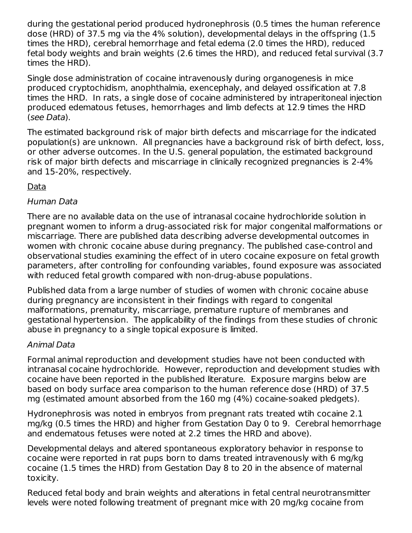during the gestational period produced hydronephrosis (0.5 times the human reference dose (HRD) of 37.5 mg via the 4% solution), developmental delays in the offspring (1.5 times the HRD), cerebral hemorrhage and fetal edema (2.0 times the HRD), reduced fetal body weights and brain weights (2.6 times the HRD), and reduced fetal survival (3.7 times the HRD).

Single dose administration of cocaine intravenously during organogenesis in mice produced cryptochidism, anophthalmia, exencephaly, and delayed ossification at 7.8 times the HRD. In rats, a single dose of cocaine administered by intraperitoneal injection produced edematous fetuses, hemorrhages and limb defects at 12.9 times the HRD (see Data).

The estimated background risk of major birth defects and miscarriage for the indicated population(s) are unknown. All pregnancies have a background risk of birth defect, loss, or other adverse outcomes. In the U.S. general population, the estimated background risk of major birth defects and miscarriage in clinically recognized pregnancies is 2-4% and 15-20%, respectively.

### Data

### Human Data

There are no available data on the use of intranasal cocaine hydrochloride solution in pregnant women to inform a drug-associated risk for major congenital malformations or miscarriage. There are published data describing adverse developmental outcomes in women with chronic cocaine abuse during pregnancy. The published case-control and observational studies examining the effect of in utero cocaine exposure on fetal growth parameters, after controlling for confounding variables, found exposure was associated with reduced fetal growth compared with non-drug-abuse populations.

Published data from a large number of studies of women with chronic cocaine abuse during pregnancy are inconsistent in their findings with regard to congenital malformations, prematurity, miscarriage, premature rupture of membranes and gestational hypertension. The applicability of the findings from these studies of chronic abuse in pregnancy to a single topical exposure is limited.

### Animal Data

Formal animal reproduction and development studies have not been conducted with intranasal cocaine hydrochloride. However, reproduction and development studies with cocaine have been reported in the published literature. Exposure margins below are based on body surface area comparison to the human reference dose (HRD) of 37.5 mg (estimated amount absorbed from the 160 mg (4%) cocaine-soaked pledgets).

Hydronephrosis was noted in embryos from pregnant rats treated wtih cocaine 2.1 mg/kg (0.5 times the HRD) and higher from Gestation Day 0 to 9. Cerebral hemorrhage and endematous fetuses were noted at 2.2 times the HRD and above).

Developmental delays and altered spontaneous exploratory behavior in response to cocaine were reported in rat pups born to dams treated intravenously with 6 mg/kg cocaine (1.5 times the HRD) from Gestation Day 8 to 20 in the absence of maternal toxicity.

Reduced fetal body and brain weights and alterations in fetal central neurotransmitter levels were noted following treatment of pregnant mice with 20 mg/kg cocaine from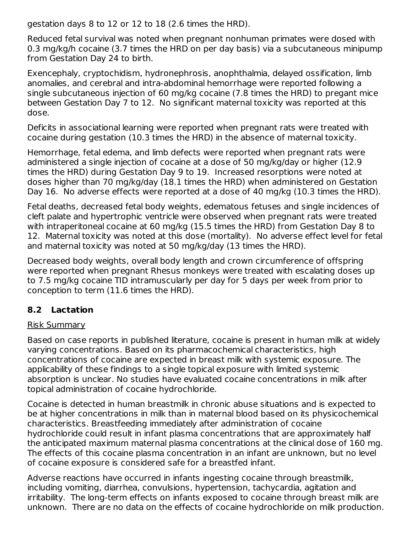gestation days 8 to 12 or 12 to 18 (2.6 times the HRD).

Reduced fetal survival was noted when pregnant nonhuman primates were dosed with 0.3 mg/kg/h cocaine (3.7 times the HRD on per day basis) via a subcutaneous minipump from Gestation Day 24 to birth.

Exencephaly, cryptochidism, hydronephrosis, anophthalmia, delayed ossification, limb anomalies, and cerebral and intra-abdominal hemorrhage were reported following a single subcutaneous injection of 60 mg/kg cocaine (7.8 times the HRD) to pregant mice between Gestation Day 7 to 12. No significant maternal toxicity was reported at this dose.

Deficits in associational learning were reported when pregnant rats were treated with cocaine during gestation (10.3 times the HRD) in the absence of maternal toxicity.

Hemorrhage, fetal edema, and limb defects were reported when pregnant rats were administered a single injection of cocaine at a dose of 50 mg/kg/day or higher (12.9 times the HRD) during Gestation Day 9 to 19. Increased resorptions were noted at doses higher than 70 mg/kg/day (18.1 times the HRD) when administered on Gestation Day 16. No adverse effects were reported at a dose of 40 mg/kg (10.3 times the HRD).

Fetal deaths, decreased fetal body weights, edematous fetuses and single incidences of cleft palate and hypertrophic ventricle were observed when pregnant rats were treated with intraperitoneal cocaine at 60 mg/kg (15.5 times the HRD) from Gestation Day 8 to 12. Maternal toxicity was noted at this dose (mortality). No adverse effect level for fetal and maternal toxicity was noted at 50 mg/kg/day (13 times the HRD).

Decreased body weights, overall body length and crown circumference of offspring were reported when pregnant Rhesus monkeys were treated with escalating doses up to 7.5 mg/kg cocaine TID intramuscularly per day for 5 days per week from prior to conception to term (11.6 times the HRD).

### **8.2 Lactation**

### Risk Summary

Based on case reports in published literature, cocaine is present in human milk at widely varying concentrations. Based on its pharmacochemical characteristics, high concentrations of cocaine are expected in breast milk with systemic exposure. The applicability of these findings to a single topical exposure with limited systemic absorption is unclear. No studies have evaluated cocaine concentrations in milk after topical administration of cocaine hydrochloride.

Cocaine is detected in human breastmilk in chronic abuse situations and is expected to be at higher concentrations in milk than in maternal blood based on its physicochemical characteristics. Breastfeeding immediately after administration of cocaine hydrochloride could result in infant plasma concentrations that are approximately half the anticipated maximum maternal plasma concentrations at the clinical dose of 160 mg. The effects of this cocaine plasma concentration in an infant are unknown, but no level of cocaine exposure is considered safe for a breastfed infant.

Adverse reactions have occurred in infants ingesting cocaine through breastmilk, including vomiting, diarrhea, convulsions, hypertension, tachycardia, agitation and irritability. The long-term effects on infants exposed to cocaine through breast milk are unknown. There are no data on the effects of cocaine hydrochloride on milk production.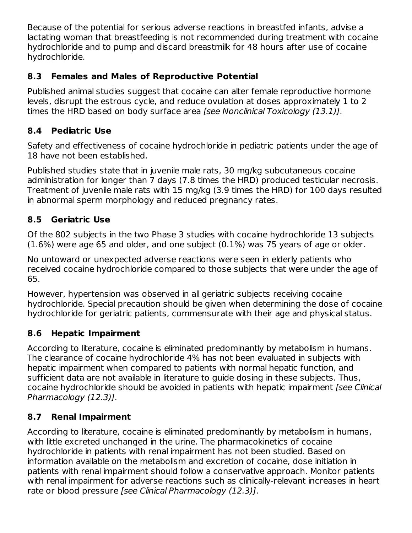Because of the potential for serious adverse reactions in breastfed infants, advise a lactating woman that breastfeeding is not recommended during treatment with cocaine hydrochloride and to pump and discard breastmilk for 48 hours after use of cocaine hydrochloride.

## **8.3 Females and Males of Reproductive Potential**

Published animal studies suggest that cocaine can alter female reproductive hormone levels, disrupt the estrous cycle, and reduce ovulation at doses approximately 1 to 2 times the HRD based on body surface area [see Nonclinical Toxicology (13.1)].

### **8.4 Pediatric Use**

Safety and effectiveness of cocaine hydrochloride in pediatric patients under the age of 18 have not been established.

Published studies state that in juvenile male rats, 30 mg/kg subcutaneous cocaine administration for longer than 7 days (7.8 times the HRD) produced testicular necrosis. Treatment of juvenile male rats with 15 mg/kg (3.9 times the HRD) for 100 days resulted in abnormal sperm morphology and reduced pregnancy rates.

## **8.5 Geriatric Use**

Of the 802 subjects in the two Phase 3 studies with cocaine hydrochloride 13 subjects (1.6%) were age 65 and older, and one subject (0.1%) was 75 years of age or older.

No untoward or unexpected adverse reactions were seen in elderly patients who received cocaine hydrochloride compared to those subjects that were under the age of 65.

However, hypertension was observed in all geriatric subjects receiving cocaine hydrochloride. Special precaution should be given when determining the dose of cocaine hydrochloride for geriatric patients, commensurate with their age and physical status.

## **8.6 Hepatic Impairment**

According to literature, cocaine is eliminated predominantly by metabolism in humans. The clearance of cocaine hydrochloride 4% has not been evaluated in subjects with hepatic impairment when compared to patients with normal hepatic function, and sufficient data are not available in literature to guide dosing in these subjects. Thus, cocaine hydrochloride should be avoided in patients with hepatic impairment [see Clinical Pharmacology (12.3)].

## **8.7 Renal Impairment**

According to literature, cocaine is eliminated predominantly by metabolism in humans, with little excreted unchanged in the urine. The pharmacokinetics of cocaine hydrochloride in patients with renal impairment has not been studied. Based on information available on the metabolism and excretion of cocaine, dose initiation in patients with renal impairment should follow a conservative approach. Monitor patients with renal impairment for adverse reactions such as clinically-relevant increases in heart rate or blood pressure [see Clinical Pharmacology (12.3)].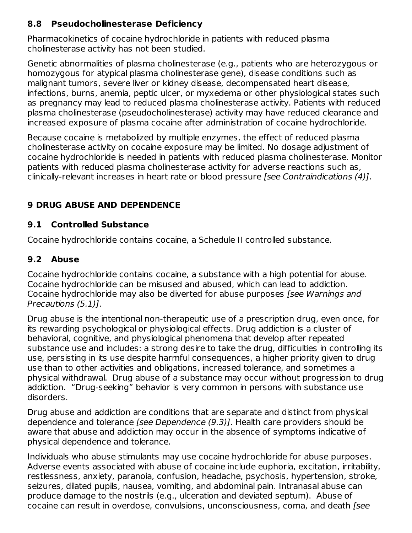### **8.8 Pseudocholinesterase Deficiency**

Pharmacokinetics of cocaine hydrochloride in patients with reduced plasma cholinesterase activity has not been studied.

Genetic abnormalities of plasma cholinesterase (e.g., patients who are heterozygous or homozygous for atypical plasma cholinesterase gene), disease conditions such as malignant tumors, severe liver or kidney disease, decompensated heart disease, infections, burns, anemia, peptic ulcer, or myxedema or other physiological states such as pregnancy may lead to reduced plasma cholinesterase activity. Patients with reduced plasma cholinesterase (pseudocholinesterase) activity may have reduced clearance and increased exposure of plasma cocaine after administration of cocaine hydrochloride.

Because cocaine is metabolized by multiple enzymes, the effect of reduced plasma cholinesterase activity on cocaine exposure may be limited. No dosage adjustment of cocaine hydrochloride is needed in patients with reduced plasma cholinesterase. Monitor patients with reduced plasma cholinesterase activity for adverse reactions such as, clinically-relevant increases in heart rate or blood pressure [see Contraindications (4)].

## **9 DRUG ABUSE AND DEPENDENCE**

## **9.1 Controlled Substance**

Cocaine hydrochloride contains cocaine, a Schedule II controlled substance.

## **9.2 Abuse**

Cocaine hydrochloride contains cocaine, a substance with a high potential for abuse. Cocaine hydrochloride can be misused and abused, which can lead to addiction. Cocaine hydrochloride may also be diverted for abuse purposes *[see Warnings and* Precautions (5.1)].

Drug abuse is the intentional non-therapeutic use of a prescription drug, even once, for its rewarding psychological or physiological effects. Drug addiction is a cluster of behavioral, cognitive, and physiological phenomena that develop after repeated substance use and includes: a strong desire to take the drug, difficulties in controlling its use, persisting in its use despite harmful consequences, a higher priority given to drug use than to other activities and obligations, increased tolerance, and sometimes a physical withdrawal. Drug abuse of a substance may occur without progression to drug addiction. "Drug-seeking" behavior is very common in persons with substance use disorders.

Drug abuse and addiction are conditions that are separate and distinct from physical dependence and tolerance [see Dependence (9.3)]. Health care providers should be aware that abuse and addiction may occur in the absence of symptoms indicative of physical dependence and tolerance.

Individuals who abuse stimulants may use cocaine hydrochloride for abuse purposes. Adverse events associated with abuse of cocaine include euphoria, excitation, irritability, restlessness, anxiety, paranoia, confusion, headache, psychosis, hypertension, stroke, seizures, dilated pupils, nausea, vomiting, and abdominal pain. Intranasal abuse can produce damage to the nostrils (e.g., ulceration and deviated septum). Abuse of cocaine can result in overdose, convulsions, unconsciousness, coma, and death [see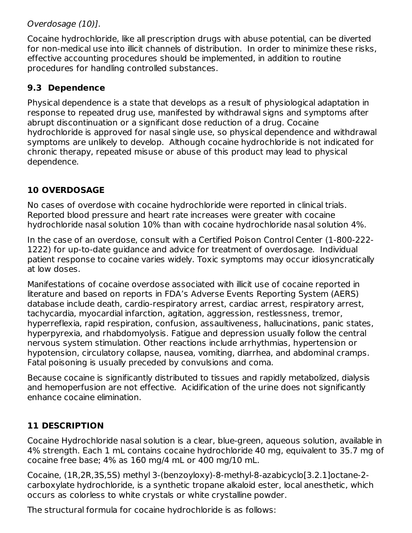### Overdosage (10)].

Cocaine hydrochloride, like all prescription drugs with abuse potential, can be diverted for non-medical use into illicit channels of distribution. In order to minimize these risks, effective accounting procedures should be implemented, in addition to routine procedures for handling controlled substances.

## **9.3 Dependence**

Physical dependence is a state that develops as a result of physiological adaptation in response to repeated drug use, manifested by withdrawal signs and symptoms after abrupt discontinuation or a significant dose reduction of a drug. Cocaine hydrochloride is approved for nasal single use, so physical dependence and withdrawal symptoms are unlikely to develop. Although cocaine hydrochloride is not indicated for chronic therapy, repeated misuse or abuse of this product may lead to physical dependence.

## **10 OVERDOSAGE**

No cases of overdose with cocaine hydrochloride were reported in clinical trials. Reported blood pressure and heart rate increases were greater with cocaine hydrochloride nasal solution 10% than with cocaine hydrochloride nasal solution 4%.

In the case of an overdose, consult with a Certified Poison Control Center (1-800-222- 1222) for up-to-date guidance and advice for treatment of overdosage. Individual patient response to cocaine varies widely. Toxic symptoms may occur idiosyncratically at low doses.

Manifestations of cocaine overdose associated with illicit use of cocaine reported in literature and based on reports in FDA's Adverse Events Reporting System (AERS) database include death, cardio-respiratory arrest, cardiac arrest, respiratory arrest, tachycardia, myocardial infarction, agitation, aggression, restlessness, tremor, hyperreflexia, rapid respiration, confusion, assaultiveness, hallucinations, panic states, hyperpyrexia, and rhabdomyolysis. Fatigue and depression usually follow the central nervous system stimulation. Other reactions include arrhythmias, hypertension or hypotension, circulatory collapse, nausea, vomiting, diarrhea, and abdominal cramps. Fatal poisoning is usually preceded by convulsions and coma.

Because cocaine is significantly distributed to tissues and rapidly metabolized, dialysis and hemoperfusion are not effective. Acidification of the urine does not significantly enhance cocaine elimination.

## **11 DESCRIPTION**

Cocaine Hydrochloride nasal solution is a clear, blue-green, aqueous solution, available in 4% strength. Each 1 mL contains cocaine hydrochloride 40 mg, equivalent to 35.7 mg of cocaine free base; 4% as 160 mg/4 mL or 400 mg/10 mL.

Cocaine, (1R,2R,3S,5S) methyl 3-(benzoyloxy)-8-methyl-8-azabicyclo[3.2.1]octane-2 carboxylate hydrochloride, is a synthetic tropane alkaloid ester, local anesthetic, which occurs as colorless to white crystals or white crystalline powder.

The structural formula for cocaine hydrochloride is as follows: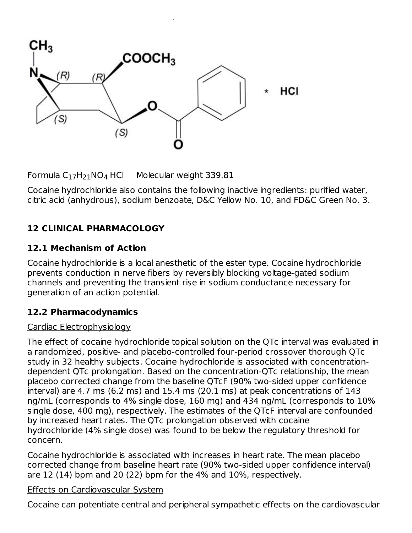

The structural formula formula for cocaine is as follows:  $\frac{1}{2}$ 

Formula  $C_{17}H_{21}NO_4$  HCl Molecular weight 339.81

Cocaine hydrochloride also contains the following inactive ingredients: purified water, citric acid (anhydrous), sodium benzoate, D&C Yellow No. 10, and FD&C Green No. 3.

## **12 CLINICAL PHARMACOLOGY**

#### **12.1 Mechanism of Action**

Cocaine hydrochloride is a local anesthetic of the ester type. Cocaine hydrochloride prevents conduction in nerve fibers by reversibly blocking voltage-gated sodium channels and preventing the transient rise in sodium conductance necessary for generation of an action potential.

### **12.2 Pharmacodynamics**

### Cardiac Electrophysiology

The effect of cocaine hydrochloride topical solution on the QTc interval was evaluated in a randomized, positive- and placebo-controlled four-period crossover thorough QTc study in 32 healthy subjects. Cocaine hydrochloride is associated with concentrationdependent QTc prolongation. Based on the concentration-QTc relationship, the mean placebo corrected change from the baseline QTcF (90% two-sided upper confidence interval) are 4.7 ms (6.2 ms) and 15.4 ms (20.1 ms) at peak concentrations of 143 ng/mL (corresponds to 4% single dose, 160 mg) and 434 ng/mL (corresponds to 10% single dose, 400 mg), respectively. The estimates of the QTcF interval are confounded by increased heart rates. The QTc prolongation observed with cocaine hydrochloride (4% single dose) was found to be below the regulatory threshold for concern.

Cocaine hydrochloride is associated with increases in heart rate. The mean placebo corrected change from baseline heart rate (90% two-sided upper confidence interval) are 12 (14) bpm and 20 (22) bpm for the 4% and 10%, respectively.

#### Effects on Cardiovascular System

Cocaine can potentiate central and peripheral sympathetic effects on the cardiovascular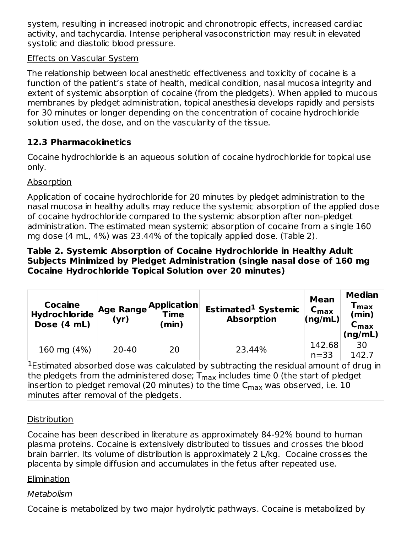system, resulting in increased inotropic and chronotropic effects, increased cardiac activity, and tachycardia. Intense peripheral vasoconstriction may result in elevated systolic and diastolic blood pressure.

### Effects on Vascular System

The relationship between local anesthetic effectiveness and toxicity of cocaine is a function of the patient's state of health, medical condition, nasal mucosa integrity and extent of systemic absorption of cocaine (from the pledgets). When applied to mucous membranes by pledget administration, topical anesthesia develops rapidly and persists for 30 minutes or longer depending on the concentration of cocaine hydrochloride solution used, the dose, and on the vascularity of the tissue.

## **12.3 Pharmacokinetics**

Cocaine hydrochloride is an aqueous solution of cocaine hydrochloride for topical use only.

#### Absorption

Application of cocaine hydrochloride for 20 minutes by pledget administration to the nasal mucosa in healthy adults may reduce the systemic absorption of the applied dose of cocaine hydrochloride compared to the systemic absorption after non-pledget administration. The estimated mean systemic absorption of cocaine from a single 160 mg dose (4 mL, 4%) was 23.44% of the topically applied dose. (Table 2).

#### **Table 2. Systemic Absorption of Cocaine Hydrochloride in Healthy Adult Subjects Minimized by Pledget Administration (single nasal dose of 160 mg Cocaine Hydrochloride Topical Solution over 20 minutes)**

| <b>Cocaine</b><br><b>Hydrochloride</b><br>Dose (4 mL) | (yr)      | Age Range Application<br><b>Time</b><br>(min) | Estimated <sup>1</sup> Systemic<br><b>Absorption</b> | <b>Mean</b><br>$C_{\text{max}}$<br>(ng/mL) | <b>Median</b><br>$\mathsf{T}_{\mathsf{max}}$<br>(min)<br>$\mathsf{c}_{\mathsf{max}}$<br>(ng/mL) |
|-------------------------------------------------------|-----------|-----------------------------------------------|------------------------------------------------------|--------------------------------------------|-------------------------------------------------------------------------------------------------|
| 160 mg (4%)                                           | $20 - 40$ | 20                                            | 23.44%                                               | 142.68<br>$n = 33$                         | 30<br>142.7                                                                                     |

 $1$ Estimated absorbed dose was calculated by subtracting the residual amount of drug in the pledgets from the administered dose;  ${\mathsf T}_{\textsf{max}}$  includes time 0 (the start of pledget insertion to pledget removal (20 minutes) to the time  ${\sf C}_{\sf max}$  was observed, i.e.  $10$ minutes after removal of the pledgets.

### **Distribution**

Cocaine has been described in literature as approximately 84-92% bound to human plasma proteins. Cocaine is extensively distributed to tissues and crosses the blood brain barrier. Its volume of distribution is approximately 2 L/kg. Cocaine crosses the placenta by simple diffusion and accumulates in the fetus after repeated use.

#### Elimination

### Metabolism

Cocaine is metabolized by two major hydrolytic pathways. Cocaine is metabolized by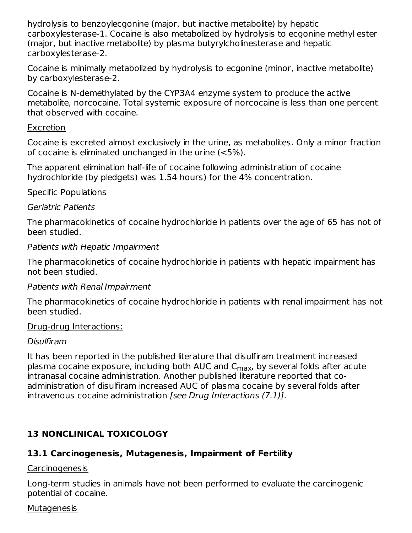hydrolysis to benzoylecgonine (major, but inactive metabolite) by hepatic carboxylesterase-1. Cocaine is also metabolized by hydrolysis to ecgonine methyl ester (major, but inactive metabolite) by plasma butyrylcholinesterase and hepatic carboxylesterase-2.

Cocaine is minimally metabolized by hydrolysis to ecgonine (minor, inactive metabolite) by carboxylesterase-2.

Cocaine is N-demethylated by the CYP3A4 enzyme system to produce the active metabolite, norcocaine. Total systemic exposure of norcocaine is less than one percent that observed with cocaine.

#### Excretion

Cocaine is excreted almost exclusively in the urine, as metabolites. Only a minor fraction of cocaine is eliminated unchanged in the urine (<5%).

The apparent elimination half-life of cocaine following administration of cocaine hydrochloride (by pledgets) was 1.54 hours) for the 4% concentration.

#### Specific Populations

#### Geriatric Patients

The pharmacokinetics of cocaine hydrochloride in patients over the age of 65 has not of been studied.

#### Patients with Hepatic Impairment

The pharmacokinetics of cocaine hydrochloride in patients with hepatic impairment has not been studied.

#### Patients with Renal Impairment

The pharmacokinetics of cocaine hydrochloride in patients with renal impairment has not been studied.

#### Drug-drug Interactions:

#### Disulfiram

It has been reported in the published literature that disulfiram treatment increased plasma cocaine exposure, including both AUC and C<sub>max</sub>, by several folds after acute intranasal cocaine administration. Another published literature reported that coadministration of disulfiram increased AUC of plasma cocaine by several folds after intravenous cocaine administration [see Drug Interactions (7.1)].

## **13 NONCLINICAL TOXICOLOGY**

### **13.1 Carcinogenesis, Mutagenesis, Impairment of Fertility**

#### Carcinogenesis

Long-term studies in animals have not been performed to evaluate the carcinogenic potential of cocaine.

#### **Mutagenesis**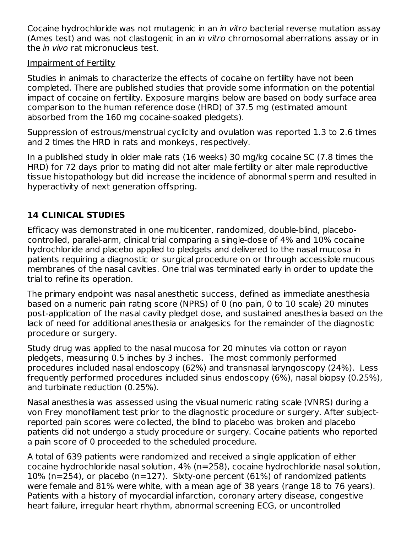Cocaine hydrochloride was not mutagenic in an in vitro bacterial reverse mutation assay (Ames test) and was not clastogenic in an in vitro chromosomal aberrations assay or in the *in vivo* rat micronucleus test.

#### Impairment of Fertility

Studies in animals to characterize the effects of cocaine on fertility have not been completed. There are published studies that provide some information on the potential impact of cocaine on fertility. Exposure margins below are based on body surface area comparison to the human reference dose (HRD) of 37.5 mg (estimated amount absorbed from the 160 mg cocaine-soaked pledgets).

Suppression of estrous/menstrual cyclicity and ovulation was reported 1.3 to 2.6 times and 2 times the HRD in rats and monkeys, respectively.

In a published study in older male rats (16 weeks) 30 mg/kg cocaine SC (7.8 times the HRD) for 72 days prior to mating did not alter male fertility or alter male reproductive tissue histopathology but did increase the incidence of abnormal sperm and resulted in hyperactivity of next generation offspring.

## **14 CLINICAL STUDIES**

Efficacy was demonstrated in one multicenter, randomized, double-blind, placebocontrolled, parallel-arm, clinical trial comparing a single-dose of 4% and 10% cocaine hydrochloride and placebo applied to pledgets and delivered to the nasal mucosa in patients requiring a diagnostic or surgical procedure on or through accessible mucous membranes of the nasal cavities. One trial was terminated early in order to update the trial to refine its operation.

The primary endpoint was nasal anesthetic success, defined as immediate anesthesia based on a numeric pain rating score (NPRS) of 0 (no pain, 0 to 10 scale) 20 minutes post-application of the nasal cavity pledget dose, and sustained anesthesia based on the lack of need for additional anesthesia or analgesics for the remainder of the diagnostic procedure or surgery.

Study drug was applied to the nasal mucosa for 20 minutes via cotton or rayon pledgets, measuring 0.5 inches by 3 inches. The most commonly performed procedures included nasal endoscopy (62%) and transnasal laryngoscopy (24%). Less frequently performed procedures included sinus endoscopy (6%), nasal biopsy (0.25%), and turbinate reduction (0.25%).

Nasal anesthesia was assessed using the visual numeric rating scale (VNRS) during a von Frey monofilament test prior to the diagnostic procedure or surgery. After subjectreported pain scores were collected, the blind to placebo was broken and placebo patients did not undergo a study procedure or surgery. Cocaine patients who reported a pain score of 0 proceeded to the scheduled procedure.

A total of 639 patients were randomized and received a single application of either cocaine hydrochloride nasal solution, 4% (n=258), cocaine hydrochloride nasal solution, 10% (n=254), or placebo (n=127). Sixty-one percent (61%) of randomized patients were female and 81% were white, with a mean age of 38 years (range 18 to 76 years). Patients with a history of myocardial infarction, coronary artery disease, congestive heart failure, irregular heart rhythm, abnormal screening ECG, or uncontrolled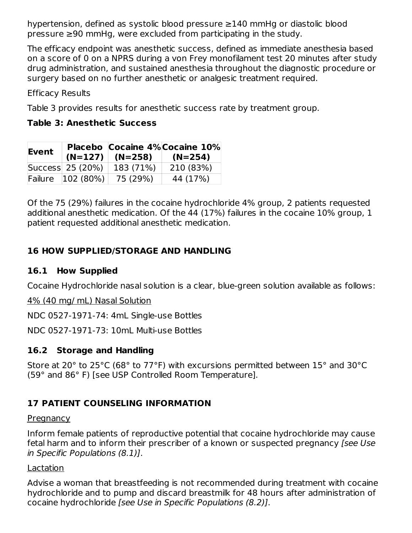hypertension, defined as systolic blood pressure ≥140 mmHg or diastolic blood pressure ≥90 mmHg, were excluded from participating in the study.

The efficacy endpoint was anesthetic success, defined as immediate anesthesia based on a score of 0 on a NPRS during a von Frey monofilament test 20 minutes after study drug administration, and sustained anesthesia throughout the diagnostic procedure or surgery based on no further anesthetic or analgesic treatment required.

Efficacy Results

Table 3 provides results for anesthetic success rate by treatment group.

#### **Table 3: Anesthetic Success**

| Event   |                  | $(N=127)$ $(N=258)$ | Placebo Cocaine 4% Cocaine 10%<br>$(N=254)$ |
|---------|------------------|---------------------|---------------------------------------------|
|         | Success 25 (20%) | 183 (71%)           | 210 (83%)                                   |
| Failure | $ 102 \ (80\%)$  | 75 (29%)            | 44 (17%)                                    |

Of the 75 (29%) failures in the cocaine hydrochloride 4% group, 2 patients requested additional anesthetic medication. Of the 44 (17%) failures in the cocaine 10% group, 1 patient requested additional anesthetic medication.

## **16 HOW SUPPLIED/STORAGE AND HANDLING**

### **16.1 How Supplied**

Cocaine Hydrochloride nasal solution is a clear, blue-green solution available as follows:

4% (40 mg/ mL) Nasal Solution

NDC 0527-1971-74: 4mL Single-use Bottles

NDC 0527-1971-73: 10mL Multi-use Bottles

### **16.2 Storage and Handling**

Store at 20° to 25°C (68° to 77°F) with excursions permitted between 15° and 30°C (59° and 86° F) [see USP Controlled Room Temperature].

### **17 PATIENT COUNSELING INFORMATION**

#### **Pregnancy**

Inform female patients of reproductive potential that cocaine hydrochloride may cause fetal harm and to inform their prescriber of a known or suspected pregnancy [see Use in Specific Populations (8.1)].

#### Lactation

Advise a woman that breastfeeding is not recommended during treatment with cocaine hydrochloride and to pump and discard breastmilk for 48 hours after administration of cocaine hydrochloride [see Use in Specific Populations (8.2)].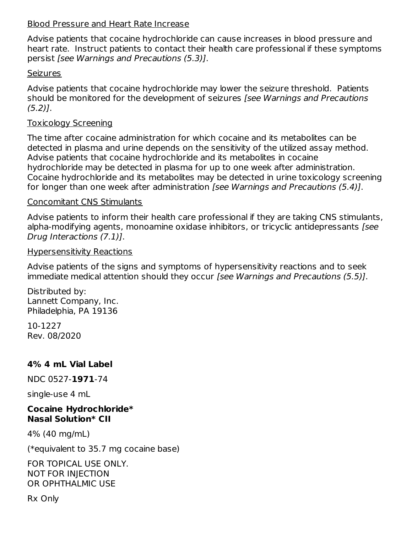#### Blood Pressure and Heart Rate Increase

Advise patients that cocaine hydrochloride can cause increases in blood pressure and heart rate. Instruct patients to contact their health care professional if these symptoms persist [see Warnings and Precautions (5.3)].

#### **Seizures**

Advise patients that cocaine hydrochloride may lower the seizure threshold. Patients should be monitored for the development of seizures [see Warnings and Precautions (5.2)].

#### Toxicology Screening

The time after cocaine administration for which cocaine and its metabolites can be detected in plasma and urine depends on the sensitivity of the utilized assay method. Advise patients that cocaine hydrochloride and its metabolites in cocaine hydrochloride may be detected in plasma for up to one week after administration. Cocaine hydrochloride and its metabolites may be detected in urine toxicology screening for longer than one week after administration [see Warnings and Precautions (5.4)].

#### Concomitant CNS Stimulants

Advise patients to inform their health care professional if they are taking CNS stimulants, alpha-modifying agents, monoamine oxidase inhibitors, or tricyclic antidepressants [see Drug Interactions (7.1)].

#### Hypersensitivity Reactions

Advise patients of the signs and symptoms of hypersensitivity reactions and to seek immediate medical attention should they occur [see Warnings and Precautions (5.5)].

Distributed by: Lannett Company, Inc. Philadelphia, PA 19136

10-1227 Rev. 08/2020

### **4% 4 mL Vial Label**

NDC 0527-**1971**-74

single-use 4 mL

#### **Cocaine Hydrochloride\* Nasal Solution\* CII**

4% (40 mg/mL)

(\*equivalent to 35.7 mg cocaine base)

FOR TOPICAL USE ONLY. NOT FOR INJECTION OR OPHTHALMIC USE

Rx Only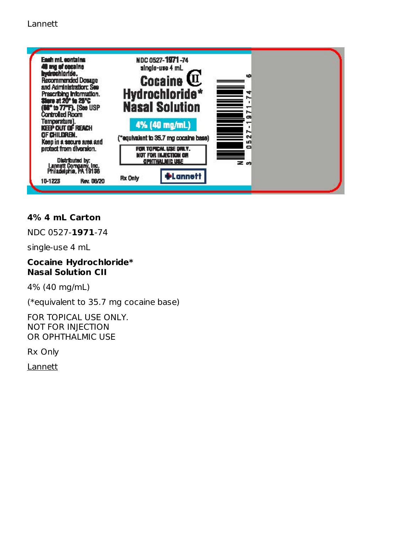

### **4% 4 mL Carton**

NDC 0527-**1971**-74

single-use 4 mL

#### **Cocaine Hydrochloride\* Nasal Solution CII**

4% (40 mg/mL)

(\*equivalent to 35.7 mg cocaine base)

FOR TOPICAL USE ONLY. NOT FOR INJECTION OR OPHTHALMIC USE

Rx Only

**Lannett**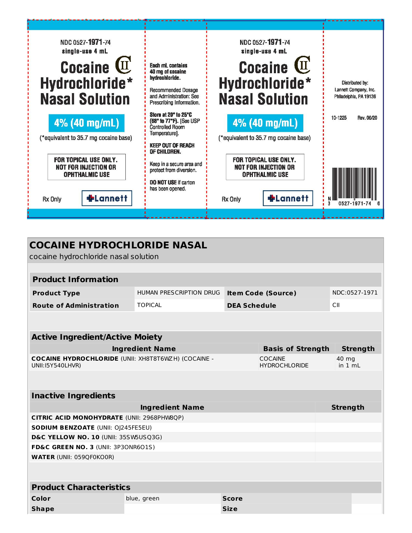

| <b>COCAINE HYDROCHLORIDE NASAL</b><br>cocaine hydrochloride nasal solution            |                         |                     |                                        |                  |  |
|---------------------------------------------------------------------------------------|-------------------------|---------------------|----------------------------------------|------------------|--|
|                                                                                       |                         |                     |                                        |                  |  |
| <b>Product Information</b>                                                            |                         |                     |                                        |                  |  |
| <b>Product Type</b>                                                                   | HUMAN PRESCRIPTION DRUG |                     | <b>Item Code (Source)</b>              | NDC:0527-1971    |  |
| <b>Route of Administration</b>                                                        | <b>TOPICAL</b>          | <b>DEA Schedule</b> |                                        | СII              |  |
|                                                                                       |                         |                     |                                        |                  |  |
|                                                                                       |                         |                     |                                        |                  |  |
| <b>Active Ingredient/Active Moiety</b>                                                |                         |                     |                                        |                  |  |
|                                                                                       | <b>Ingredient Name</b>  |                     | <b>Basis of Strength</b>               | <b>Strength</b>  |  |
| <b>COCAINE HYDROCHLORIDE (UNII: XH8T8T6WZH) (COCAINE -</b><br><b>UNII:I5Y540LHVR)</b> |                         |                     | <b>COCAINE</b><br><b>HYDROCHLORIDE</b> | 40 mg<br>in 1 mL |  |
|                                                                                       |                         |                     |                                        |                  |  |
| <b>Inactive Ingredients</b>                                                           |                         |                     |                                        |                  |  |
|                                                                                       | <b>Ingredient Name</b>  |                     |                                        | <b>Strength</b>  |  |
| CITRIC ACID MONOHYDRATE (UNII: 2968PHW8QP)                                            |                         |                     |                                        |                  |  |
| <b>SODIUM BENZOATE (UNII: OJ245FE5EU)</b>                                             |                         |                     |                                        |                  |  |
| D&C YELLOW NO. 10 (UNII: 35SW5USQ3G)                                                  |                         |                     |                                        |                  |  |
| FD&C GREEN NO. 3 (UNII: 3P3ONR6O1S)                                                   |                         |                     |                                        |                  |  |
| <b>WATER (UNII: 059QF0KO0R)</b>                                                       |                         |                     |                                        |                  |  |
|                                                                                       |                         |                     |                                        |                  |  |
| <b>Product Characteristics</b>                                                        |                         |                     |                                        |                  |  |
| Color                                                                                 | blue, green             | <b>Score</b>        |                                        |                  |  |
| <b>Shape</b>                                                                          |                         | <b>Size</b>         |                                        |                  |  |